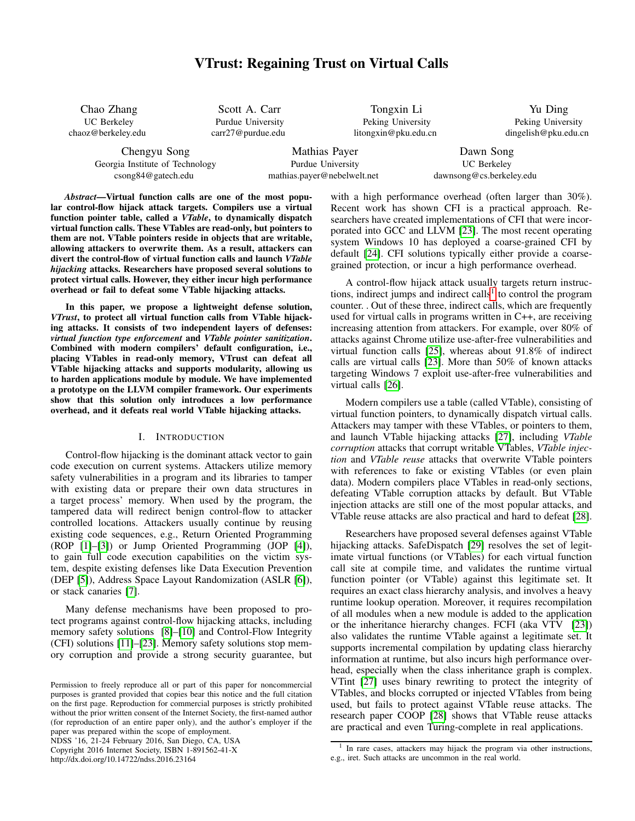# VTrust: Regaining Trust on Virtual Calls

| Chao Zhang         |  |  |  |  |  |  |  |
|--------------------|--|--|--|--|--|--|--|
| <b>UC</b> Berkeley |  |  |  |  |  |  |  |
| chaoz@berkeley.edu |  |  |  |  |  |  |  |

Scott A. Carr Purdue University carr27@purdue.edu

Tongxin Li Peking University litongxin@pku.edu.cn

Yu Ding Peking University dingelish@pku.edu.cn

Chengyu Song Georgia Institute of Technology csong84@gatech.edu

Mathias Payer Purdue University mathias.payer@nebelwelt.net

Dawn Song UC Berkeley dawnsong@cs.berkeley.edu

*Abstract*—Virtual function calls are one of the most popular control-flow hijack attack targets. Compilers use a virtual function pointer table, called a *VTable*, to dynamically dispatch virtual function calls. These VTables are read-only, but pointers to them are not. VTable pointers reside in objects that are writable, allowing attackers to overwrite them. As a result, attackers can divert the control-flow of virtual function calls and launch *VTable hijacking* attacks. Researchers have proposed several solutions to protect virtual calls. However, they either incur high performance overhead or fail to defeat some VTable hijacking attacks.

In this paper, we propose a lightweight defense solution, *VTrust*, to protect all virtual function calls from VTable hijacking attacks. It consists of two independent layers of defenses: *virtual function type enforcement* and *VTable pointer sanitization*. Combined with modern compilers' default configuration, i.e., placing VTables in read-only memory, VTrust can defeat all VTable hijacking attacks and supports modularity, allowing us to harden applications module by module. We have implemented a prototype on the LLVM compiler framework. Our experiments show that this solution only introduces a low performance overhead, and it defeats real world VTable hijacking attacks.

### I. INTRODUCTION

Control-flow hijacking is the dominant attack vector to gain code execution on current systems. Attackers utilize memory safety vulnerabilities in a program and its libraries to tamper with existing data or prepare their own data structures in a target process' memory. When used by the program, the tampered data will redirect benign control-flow to attacker controlled locations. Attackers usually continue by reusing existing code sequences, e.g., Return Oriented Programming (ROP [\[1\]](#page-13-0)–[\[3\]](#page-13-1)) or Jump Oriented Programming (JOP [\[4\]](#page-13-2)), to gain full code execution capabilities on the victim system, despite existing defenses like Data Execution Prevention (DEP [\[5\]](#page-13-3)), Address Space Layout Randomization (ASLR [\[6\]](#page-13-4)), or stack canaries [\[7\]](#page-13-5).

Many defense mechanisms have been proposed to protect programs against control-flow hijacking attacks, including memory safety solutions [\[8\]](#page-13-6)–[\[10\]](#page-13-7) and Control-Flow Integrity (CFI) solutions [\[11\]](#page-13-8)–[\[23\]](#page-14-0). Memory safety solutions stop memory corruption and provide a strong security guarantee, but

NDSS '16, 21-24 February 2016, San Diego, CA, USA Copyright 2016 Internet Society, ISBN 1-891562-41-X

http://dx.doi.org/10.14722/ndss.2016.23164

with a high performance overhead (often larger than 30%). Recent work has shown CFI is a practical approach. Researchers have created implementations of CFI that were incorporated into GCC and LLVM [\[23\]](#page-14-0). The most recent operating system Windows 10 has deployed a coarse-grained CFI by default [\[24\]](#page-14-1). CFI solutions typically either provide a coarsegrained protection, or incur a high performance overhead.

A control-flow hijack attack usually targets return instruc-tions, indirect jumps and indirect calls<sup>[1](#page-0-0)</sup> to control the program counter. . Out of these three, indirect calls, which are frequently used for virtual calls in programs written in C++, are receiving increasing attention from attackers. For example, over 80% of attacks against Chrome utilize use-after-free vulnerabilities and virtual function calls [\[25\]](#page-14-2), whereas about 91.8% of indirect calls are virtual calls [\[23\]](#page-14-0). More than 50% of known attacks targeting Windows 7 exploit use-after-free vulnerabilities and virtual calls [\[26\]](#page-14-3).

Modern compilers use a table (called VTable), consisting of virtual function pointers, to dynamically dispatch virtual calls. Attackers may tamper with these VTables, or pointers to them, and launch VTable hijacking attacks [\[27\]](#page-14-4), including *VTable corruption* attacks that corrupt writable VTables, *VTable injection* and *VTable reuse* attacks that overwrite VTable pointers with references to fake or existing VTables (or even plain data). Modern compilers place VTables in read-only sections, defeating VTable corruption attacks by default. But VTable injection attacks are still one of the most popular attacks, and VTable reuse attacks are also practical and hard to defeat [\[28\]](#page-14-5).

Researchers have proposed several defenses against VTable hijacking attacks. SafeDispatch [\[29\]](#page-14-6) resolves the set of legitimate virtual functions (or VTables) for each virtual function call site at compile time, and validates the runtime virtual function pointer (or VTable) against this legitimate set. It requires an exact class hierarchy analysis, and involves a heavy runtime lookup operation. Moreover, it requires recompilation of all modules when a new module is added to the application or the inheritance hierarchy changes. FCFI (aka VTV [\[23\]](#page-14-0)) also validates the runtime VTable against a legitimate set. It supports incremental compilation by updating class hierarchy information at runtime, but also incurs high performance overhead, especially when the class inheritance graph is complex. VTint [\[27\]](#page-14-4) uses binary rewriting to protect the integrity of VTables, and blocks corrupted or injected VTables from being used, but fails to protect against VTable reuse attacks. The research paper COOP [\[28\]](#page-14-5) shows that VTable reuse attacks are practical and even Turing-complete in real applications.

Permission to freely reproduce all or part of this paper for noncommercial purposes is granted provided that copies bear this notice and the full citation on the first page. Reproduction for commercial purposes is strictly prohibited without the prior written consent of the Internet Society, the first-named author (for reproduction of an entire paper only), and the author's employer if the paper was prepared within the scope of employment.

<span id="page-0-0"></span><sup>&</sup>lt;sup>1</sup> In rare cases, attackers may hijack the program via other instructions, e.g., iret. Such attacks are uncommon in the real world.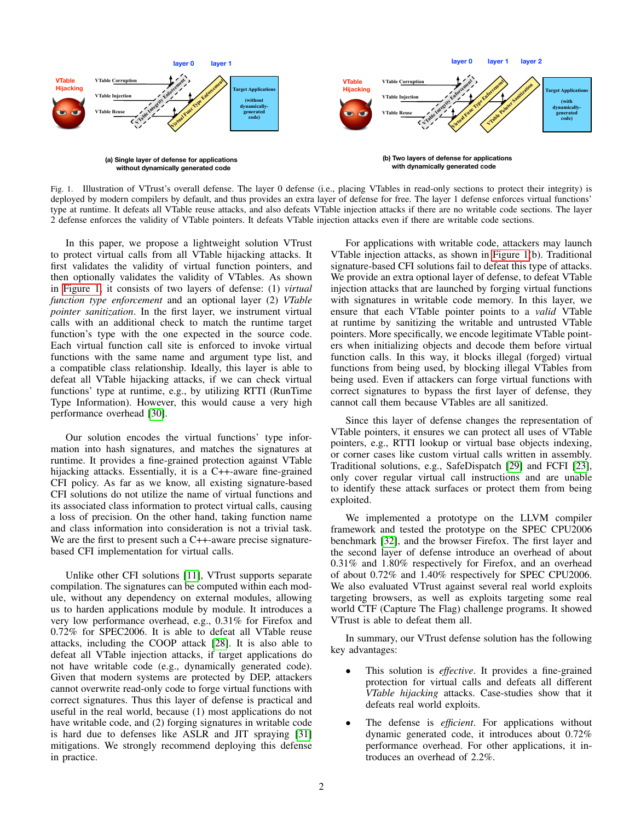

<span id="page-1-0"></span>Fig. 1. Illustration of VTrust's overall defense. The layer 0 defense (i.e., placing VTables in read-only sections to protect their integrity) is deployed by modern compilers by default, and thus provides an extra layer of defense for free. The layer 1 defense enforces virtual functions' type at runtime. It defeats all VTable reuse attacks, and also defeats VTable injection attacks if there are no writable code sections. The layer 2 defense enforces the validity of VTable pointers. It defeats VTable injection attacks even if there are writable code sections.

In this paper, we propose a lightweight solution VTrust to protect virtual calls from all VTable hijacking attacks. It first validates the validity of virtual function pointers, and then optionally validates the validity of VTables. As shown in [Figure 1,](#page-1-0) it consists of two layers of defense: (1) *virtual function type enforcement* and an optional layer (2) *VTable pointer sanitization*. In the first layer, we instrument virtual calls with an additional check to match the runtime target function's type with the one expected in the source code. Each virtual function call site is enforced to invoke virtual functions with the same name and argument type list, and a compatible class relationship. Ideally, this layer is able to defeat all VTable hijacking attacks, if we can check virtual functions' type at runtime, e.g., by utilizing RTTI (RunTime Type Information). However, this would cause a very high performance overhead [\[30\]](#page-14-7).

Our solution encodes the virtual functions' type information into hash signatures, and matches the signatures at runtime. It provides a fine-grained protection against VTable hijacking attacks. Essentially, it is a C++-aware fine-grained CFI policy. As far as we know, all existing signature-based CFI solutions do not utilize the name of virtual functions and its associated class information to protect virtual calls, causing a loss of precision. On the other hand, taking function name and class information into consideration is not a trivial task. We are the first to present such a C++-aware precise signaturebased CFI implementation for virtual calls.

Unlike other CFI solutions [\[11\]](#page-13-8), VTrust supports separate compilation. The signatures can be computed within each module, without any dependency on external modules, allowing us to harden applications module by module. It introduces a very low performance overhead, e.g., 0.31% for Firefox and 0.72% for SPEC2006. It is able to defeat all VTable reuse attacks, including the COOP attack [\[28\]](#page-14-5). It is also able to defeat all VTable injection attacks, if target applications do not have writable code (e.g., dynamically generated code). Given that modern systems are protected by DEP, attackers cannot overwrite read-only code to forge virtual functions with correct signatures. Thus this layer of defense is practical and useful in the real world, because (1) most applications do not have writable code, and (2) forging signatures in writable code is hard due to defenses like ASLR and JIT spraying [\[31\]](#page-14-8) mitigations. We strongly recommend deploying this defense in practice.

For applications with writable code, attackers may launch VTable injection attacks, as shown in [Figure 1\(](#page-1-0)b). Traditional signature-based CFI solutions fail to defeat this type of attacks. We provide an extra optional layer of defense, to defeat VTable injection attacks that are launched by forging virtual functions with signatures in writable code memory. In this layer, we ensure that each VTable pointer points to a *valid* VTable at runtime by sanitizing the writable and untrusted VTable pointers. More specifically, we encode legitimate VTable pointers when initializing objects and decode them before virtual function calls. In this way, it blocks illegal (forged) virtual functions from being used, by blocking illegal VTables from being used. Even if attackers can forge virtual functions with correct signatures to bypass the first layer of defense, they cannot call them because VTables are all sanitized.

Since this layer of defense changes the representation of VTable pointers, it ensures we can protect all uses of VTable pointers, e.g., RTTI lookup or virtual base objects indexing, or corner cases like custom virtual calls written in assembly. Traditional solutions, e.g., SafeDispatch [\[29\]](#page-14-6) and FCFI [\[23\]](#page-14-0), only cover regular virtual call instructions and are unable to identify these attack surfaces or protect them from being exploited.

We implemented a prototype on the LLVM compiler framework and tested the prototype on the SPEC CPU2006 benchmark [\[32\]](#page-14-9), and the browser Firefox. The first layer and the second layer of defense introduce an overhead of about 0.31% and 1.80% respectively for Firefox, and an overhead of about 0.72% and 1.40% respectively for SPEC CPU2006. We also evaluated VTrust against several real world exploits targeting browsers, as well as exploits targeting some real world CTF (Capture The Flag) challenge programs. It showed VTrust is able to defeat them all.

In summary, our VTrust defense solution has the following key advantages:

- This solution is *effective*. It provides a fine-grained protection for virtual calls and defeats all different *VTable hijacking* attacks. Case-studies show that it defeats real world exploits.
- The defense is *efficient*. For applications without dynamic generated code, it introduces about 0.72% performance overhead. For other applications, it introduces an overhead of 2.2%.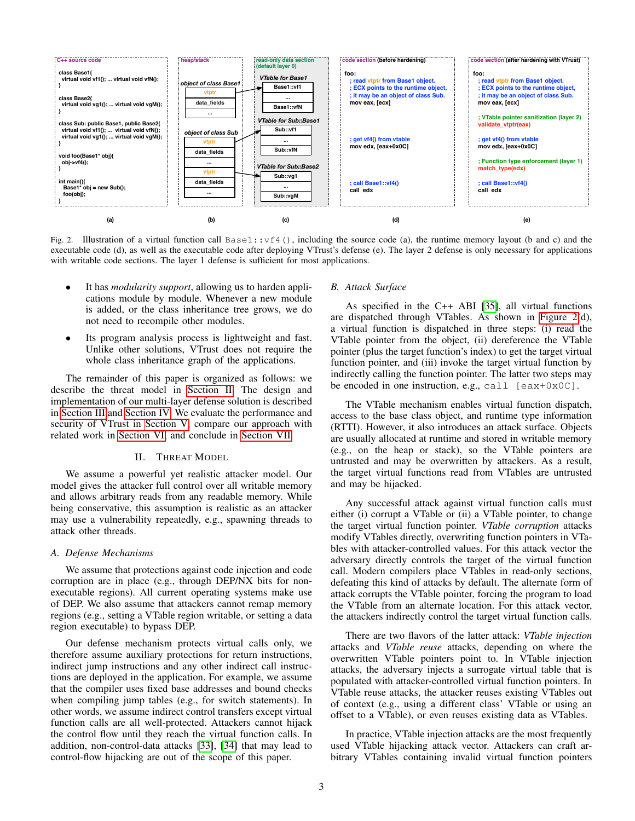

<span id="page-2-1"></span>Fig. 2. Illustration of a virtual function call  $Base1: v f4()$ , including the source code (a), the runtime memory layout (b and c) and the executable code (d), as well as the executable code after deploying VTrust's defense (e). The layer 2 defense is only necessary for applications with writable code sections. The layer 1 defense is sufficient for most applications.

- It has *modularity support*, allowing us to harden applications module by module. Whenever a new module is added, or the class inheritance tree grows, we do not need to recompile other modules.
- Its program analysis process is lightweight and fast. Unlike other solutions, VTrust does not require the whole class inheritance graph of the applications.

The remainder of this paper is organized as follows: we describe the threat model in [Section II.](#page-2-0) The design and implementation of our multi-layer defense solution is described in [Section III](#page-3-0) and [Section IV.](#page-6-0) We evaluate the performance and security of VTrust in [Section V,](#page-8-0) compare our approach with related work in [Section VI,](#page-11-0) and conclude in [Section VII.](#page-13-9)

#### II. THREAT MODEL

<span id="page-2-0"></span>We assume a powerful yet realistic attacker model. Our model gives the attacker full control over all writable memory and allows arbitrary reads from any readable memory. While being conservative, this assumption is realistic as an attacker may use a vulnerability repeatedly, e.g., spawning threads to attack other threads.

#### *A. Defense Mechanisms*

We assume that protections against code injection and code corruption are in place (e.g., through DEP/NX bits for nonexecutable regions). All current operating systems make use of DEP. We also assume that attackers cannot remap memory regions (e.g., setting a VTable region writable, or setting a data region executable) to bypass DEP.

Our defense mechanism protects virtual calls only, we therefore assume auxiliary protections for return instructions, indirect jump instructions and any other indirect call instructions are deployed in the application. For example, we assume that the compiler uses fixed base addresses and bound checks when compiling jump tables (e.g., for switch statements). In other words, we assume indirect control transfers except virtual function calls are all well-protected. Attackers cannot hijack the control flow until they reach the virtual function calls. In addition, non-control-data attacks [\[33\]](#page-14-10), [\[34\]](#page-14-11) that may lead to control-flow hijacking are out of the scope of this paper.

#### *B. Attack Surface*

As specified in the C++ ABI [\[35\]](#page-14-12), all virtual functions are dispatched through VTables. As shown in [Figure 2\(](#page-2-1)d), a virtual function is dispatched in three steps: (i) read the VTable pointer from the object, (ii) dereference the VTable pointer (plus the target function's index) to get the target virtual function pointer, and (iii) invoke the target virtual function by indirectly calling the function pointer. The latter two steps may be encoded in one instruction, e.g., call  $[ear+0x0C]$ .

The VTable mechanism enables virtual function dispatch, access to the base class object, and runtime type information (RTTI). However, it also introduces an attack surface. Objects are usually allocated at runtime and stored in writable memory (e.g., on the heap or stack), so the VTable pointers are untrusted and may be overwritten by attackers. As a result, the target virtual functions read from VTables are untrusted and may be hijacked.

Any successful attack against virtual function calls must either (i) corrupt a VTable or (ii) a VTable pointer, to change the target virtual function pointer. *VTable corruption* attacks modify VTables directly, overwriting function pointers in VTables with attacker-controlled values. For this attack vector the adversary directly controls the target of the virtual function call. Modern compilers place VTables in read-only sections, defeating this kind of attacks by default. The alternate form of attack corrupts the VTable pointer, forcing the program to load the VTable from an alternate location. For this attack vector, the attackers indirectly control the target virtual function calls.

There are two flavors of the latter attack: *VTable injection* attacks and *VTable reuse* attacks, depending on where the overwritten VTable pointers point to. In VTable injection attacks, the adversary injects a surrogate virtual table that is populated with attacker-controlled virtual function pointers. In VTable reuse attacks, the attacker reuses existing VTables out of context (e.g., using a different class' VTable or using an offset to a VTable), or even reuses existing data as VTables.

In practice, VTable injection attacks are the most frequently used VTable hijacking attack vector. Attackers can craft arbitrary VTables containing invalid virtual function pointers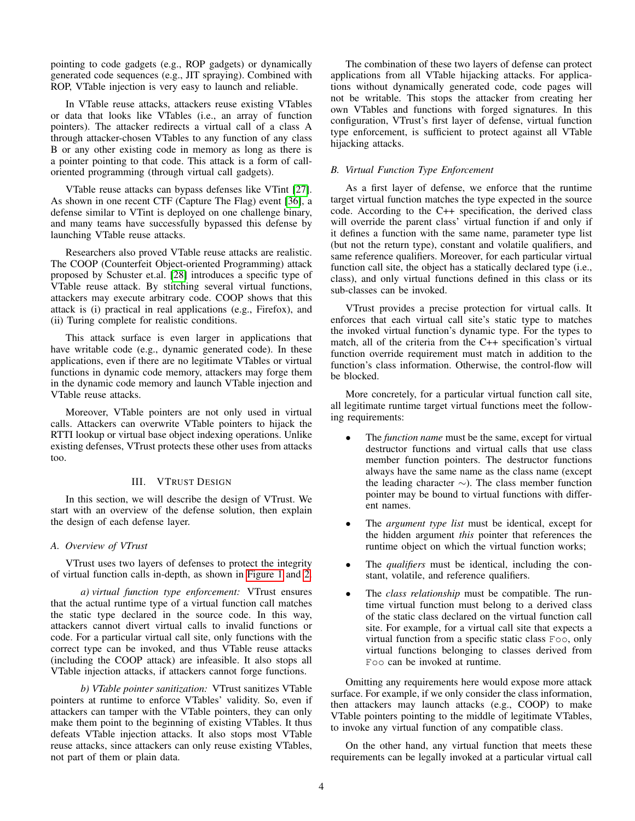pointing to code gadgets (e.g., ROP gadgets) or dynamically generated code sequences (e.g., JIT spraying). Combined with ROP, VTable injection is very easy to launch and reliable.

In VTable reuse attacks, attackers reuse existing VTables or data that looks like VTables (i.e., an array of function pointers). The attacker redirects a virtual call of a class A through attacker-chosen VTables to any function of any class B or any other existing code in memory as long as there is a pointer pointing to that code. This attack is a form of calloriented programming (through virtual call gadgets).

VTable reuse attacks can bypass defenses like VTint [\[27\]](#page-14-4). As shown in one recent CTF (Capture The Flag) event [\[36\]](#page-14-13), a defense similar to VTint is deployed on one challenge binary, and many teams have successfully bypassed this defense by launching VTable reuse attacks.

Researchers also proved VTable reuse attacks are realistic. The COOP (Counterfeit Object-oriented Programming) attack proposed by Schuster et.al. [\[28\]](#page-14-5) introduces a specific type of VTable reuse attack. By stitching several virtual functions, attackers may execute arbitrary code. COOP shows that this attack is (i) practical in real applications (e.g., Firefox), and (ii) Turing complete for realistic conditions.

This attack surface is even larger in applications that have writable code (e.g., dynamic generated code). In these applications, even if there are no legitimate VTables or virtual functions in dynamic code memory, attackers may forge them in the dynamic code memory and launch VTable injection and VTable reuse attacks.

Moreover, VTable pointers are not only used in virtual calls. Attackers can overwrite VTable pointers to hijack the RTTI lookup or virtual base object indexing operations. Unlike existing defenses, VTrust protects these other uses from attacks too.

### III. VTRUST DESIGN

<span id="page-3-0"></span>In this section, we will describe the design of VTrust. We start with an overview of the defense solution, then explain the design of each defense layer.

### *A. Overview of VTrust*

VTrust uses two layers of defenses to protect the integrity of virtual function calls in-depth, as shown in [Figure 1](#page-1-0) and [2.](#page-2-1)

*a) virtual function type enforcement:* VTrust ensures that the actual runtime type of a virtual function call matches the static type declared in the source code. In this way, attackers cannot divert virtual calls to invalid functions or code. For a particular virtual call site, only functions with the correct type can be invoked, and thus VTable reuse attacks (including the COOP attack) are infeasible. It also stops all VTable injection attacks, if attackers cannot forge functions.

*b) VTable pointer sanitization:* VTrust sanitizes VTable pointers at runtime to enforce VTables' validity. So, even if attackers can tamper with the VTable pointers, they can only make them point to the beginning of existing VTables. It thus defeats VTable injection attacks. It also stops most VTable reuse attacks, since attackers can only reuse existing VTables, not part of them or plain data.

The combination of these two layers of defense can protect applications from all VTable hijacking attacks. For applications without dynamically generated code, code pages will not be writable. This stops the attacker from creating her own VTables and functions with forged signatures. In this configuration, VTrust's first layer of defense, virtual function type enforcement, is sufficient to protect against all VTable hijacking attacks.

### *B. Virtual Function Type Enforcement*

As a first layer of defense, we enforce that the runtime target virtual function matches the type expected in the source code. According to the C++ specification, the derived class will override the parent class' virtual function if and only if it defines a function with the same name, parameter type list (but not the return type), constant and volatile qualifiers, and same reference qualifiers. Moreover, for each particular virtual function call site, the object has a statically declared type (i.e., class), and only virtual functions defined in this class or its sub-classes can be invoked.

VTrust provides a precise protection for virtual calls. It enforces that each virtual call site's static type to matches the invoked virtual function's dynamic type. For the types to match, all of the criteria from the C++ specification's virtual function override requirement must match in addition to the function's class information. Otherwise, the control-flow will be blocked.

More concretely, for a particular virtual function call site, all legitimate runtime target virtual functions meet the following requirements:

- The *function name* must be the same, except for virtual destructor functions and virtual calls that use class member function pointers. The destructor functions always have the same name as the class name (except the leading character ∼). The class member function pointer may be bound to virtual functions with different names.
- The *argument type list* must be identical, except for the hidden argument *this* pointer that references the runtime object on which the virtual function works;
- The *qualifiers* must be identical, including the constant, volatile, and reference qualifiers.
- The *class relationship* must be compatible. The runtime virtual function must belong to a derived class of the static class declared on the virtual function call site. For example, for a virtual call site that expects a virtual function from a specific static class Foo, only virtual functions belonging to classes derived from Foo can be invoked at runtime.

Omitting any requirements here would expose more attack surface. For example, if we only consider the class information, then attackers may launch attacks (e.g., COOP) to make VTable pointers pointing to the middle of legitimate VTables, to invoke any virtual function of any compatible class.

On the other hand, any virtual function that meets these requirements can be legally invoked at a particular virtual call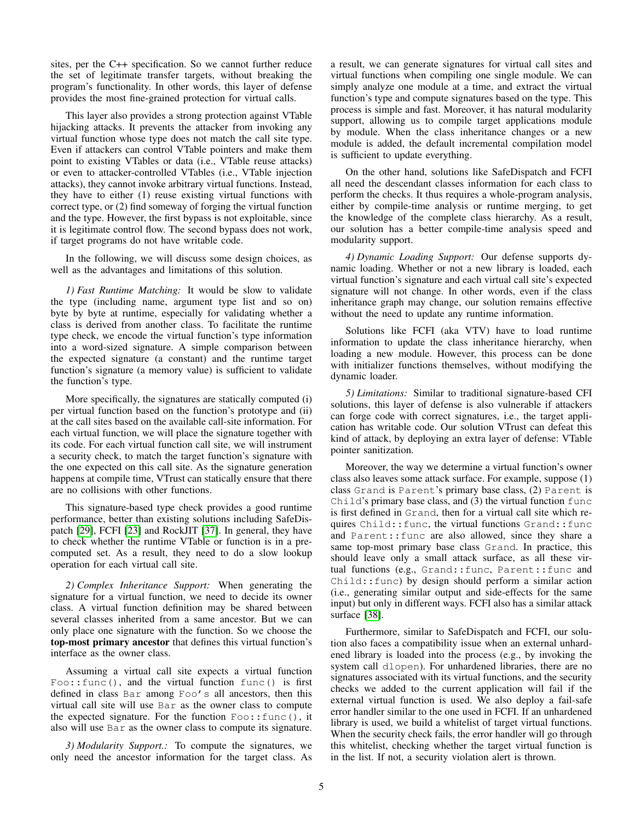sites, per the C++ specification. So we cannot further reduce the set of legitimate transfer targets, without breaking the program's functionality. In other words, this layer of defense provides the most fine-grained protection for virtual calls.

This layer also provides a strong protection against VTable hijacking attacks. It prevents the attacker from invoking any virtual function whose type does not match the call site type. Even if attackers can control VTable pointers and make them point to existing VTables or data (i.e., VTable reuse attacks) or even to attacker-controlled VTables (i.e., VTable injection attacks), they cannot invoke arbitrary virtual functions. Instead, they have to either (1) reuse existing virtual functions with correct type, or (2) find someway of forging the virtual function and the type. However, the first bypass is not exploitable, since it is legitimate control flow. The second bypass does not work, if target programs do not have writable code.

In the following, we will discuss some design choices, as well as the advantages and limitations of this solution.

*1) Fast Runtime Matching:* It would be slow to validate the type (including name, argument type list and so on) byte by byte at runtime, especially for validating whether a class is derived from another class. To facilitate the runtime type check, we encode the virtual function's type information into a word-sized signature. A simple comparison between the expected signature (a constant) and the runtime target function's signature (a memory value) is sufficient to validate the function's type.

More specifically, the signatures are statically computed (i) per virtual function based on the function's prototype and (ii) at the call sites based on the available call-site information. For each virtual function, we will place the signature together with its code. For each virtual function call site, we will instrument a security check, to match the target function's signature with the one expected on this call site. As the signature generation happens at compile time, VTrust can statically ensure that there are no collisions with other functions.

This signature-based type check provides a good runtime performance, better than existing solutions including SafeDispatch [\[29\]](#page-14-6), FCFI [\[23\]](#page-14-0) and RockJIT [\[37\]](#page-14-14). In general, they have to check whether the runtime VTable or function is in a precomputed set. As a result, they need to do a slow lookup operation for each virtual call site.

<span id="page-4-0"></span>*2) Complex Inheritance Support:* When generating the signature for a virtual function, we need to decide its owner class. A virtual function definition may be shared between several classes inherited from a same ancestor. But we can only place one signature with the function. So we choose the top-most primary ancestor that defines this virtual function's interface as the owner class.

Assuming a virtual call site expects a virtual function Foo::func(), and the virtual function func() is first defined in class Bar among Foo's all ancestors, then this virtual call site will use Bar as the owner class to compute the expected signature. For the function  $F \circ \circ : f \circ \circ ($ , it also will use Bar as the owner class to compute its signature.

*3) Modularity Support.:* To compute the signatures, we only need the ancestor information for the target class. As a result, we can generate signatures for virtual call sites and virtual functions when compiling one single module. We can simply analyze one module at a time, and extract the virtual function's type and compute signatures based on the type. This process is simple and fast. Moreover, it has natural modularity support, allowing us to compile target applications module by module. When the class inheritance changes or a new module is added, the default incremental compilation model is sufficient to update everything.

On the other hand, solutions like SafeDispatch and FCFI all need the descendant classes information for each class to perform the checks. It thus requires a whole-program analysis, either by compile-time analysis or runtime merging, to get the knowledge of the complete class hierarchy. As a result, our solution has a better compile-time analysis speed and modularity support.

*4) Dynamic Loading Support:* Our defense supports dynamic loading. Whether or not a new library is loaded, each virtual function's signature and each virtual call site's expected signature will not change. In other words, even if the class inheritance graph may change, our solution remains effective without the need to update any runtime information.

Solutions like FCFI (aka VTV) have to load runtime information to update the class inheritance hierarchy, when loading a new module. However, this process can be done with initializer functions themselves, without modifying the dynamic loader.

*5) Limitations:* Similar to traditional signature-based CFI solutions, this layer of defense is also vulnerable if attackers can forge code with correct signatures, i.e., the target application has writable code. Our solution VTrust can defeat this kind of attack, by deploying an extra layer of defense: VTable pointer sanitization.

Moreover, the way we determine a virtual function's owner class also leaves some attack surface. For example, suppose (1) class Grand is Parent's primary base class, (2) Parent is Child's primary base class, and (3) the virtual function func is first defined in Grand, then for a virtual call site which requires Child::func, the virtual functions Grand::func and Parent::func are also allowed, since they share a same top-most primary base class Grand. In practice, this should leave only a small attack surface, as all these virtual functions (e.g., Grand::func, Parent::func and Child::func) by design should perform a similar action (i.e., generating similar output and side-effects for the same input) but only in different ways. FCFI also has a similar attack surface [\[38\]](#page-14-15).

Furthermore, similar to SafeDispatch and FCFI, our solution also faces a compatibility issue when an external unhardened library is loaded into the process (e.g., by invoking the system call dlopen). For unhardened libraries, there are no signatures associated with its virtual functions, and the security checks we added to the current application will fail if the external virtual function is used. We also deploy a fail-safe error handler similar to the one used in FCFI. If an unhardened library is used, we build a whitelist of target virtual functions. When the security check fails, the error handler will go through this whitelist, checking whether the target virtual function is in the list. If not, a security violation alert is thrown.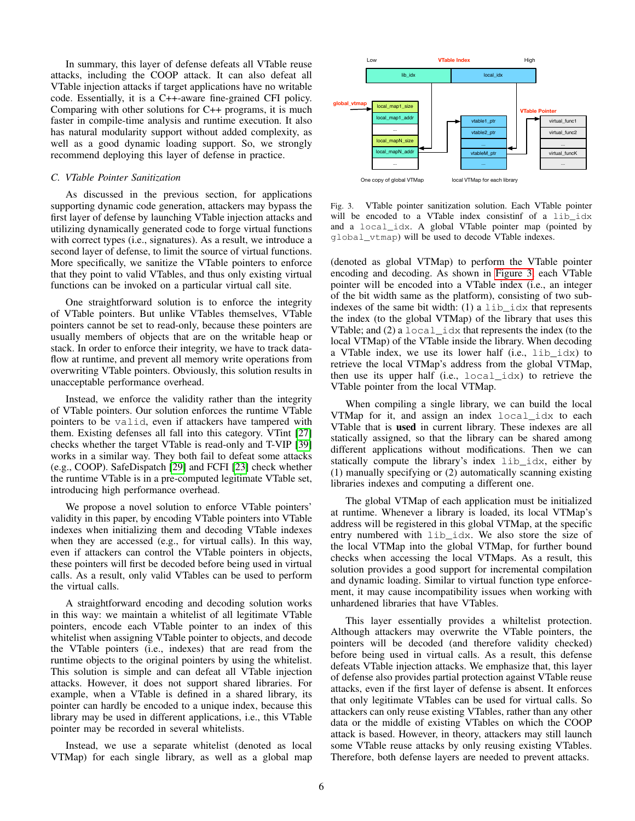In summary, this layer of defense defeats all VTable reuse attacks, including the COOP attack. It can also defeat all VTable injection attacks if target applications have no writable code. Essentially, it is a C++-aware fine-grained CFI policy. Comparing with other solutions for C++ programs, it is much faster in compile-time analysis and runtime execution. It also has natural modularity support without added complexity, as well as a good dynamic loading support. So, we strongly recommend deploying this layer of defense in practice.

#### <span id="page-5-1"></span>*C. VTable Pointer Sanitization*

As discussed in the previous section, for applications supporting dynamic code generation, attackers may bypass the first layer of defense by launching VTable injection attacks and utilizing dynamically generated code to forge virtual functions with correct types (i.e., signatures). As a result, we introduce a second layer of defense, to limit the source of virtual functions. More specifically, we sanitize the VTable pointers to enforce that they point to valid VTables, and thus only existing virtual functions can be invoked on a particular virtual call site.

One straightforward solution is to enforce the integrity of VTable pointers. But unlike VTables themselves, VTable pointers cannot be set to read-only, because these pointers are usually members of objects that are on the writable heap or stack. In order to enforce their integrity, we have to track dataflow at runtime, and prevent all memory write operations from overwriting VTable pointers. Obviously, this solution results in unacceptable performance overhead.

Instead, we enforce the validity rather than the integrity of VTable pointers. Our solution enforces the runtime VTable pointers to be valid, even if attackers have tampered with them. Existing defenses all fall into this category. VTint [\[27\]](#page-14-4) checks whether the target VTable is read-only and T-VIP [\[39\]](#page-14-16) works in a similar way. They both fail to defeat some attacks (e.g., COOP). SafeDispatch [\[29\]](#page-14-6) and FCFI [\[23\]](#page-14-0) check whether the runtime VTable is in a pre-computed legitimate VTable set, introducing high performance overhead.

We propose a novel solution to enforce VTable pointers' validity in this paper, by encoding VTable pointers into VTable indexes when initializing them and decoding VTable indexes when they are accessed (e.g., for virtual calls). In this way, even if attackers can control the VTable pointers in objects, these pointers will first be decoded before being used in virtual calls. As a result, only valid VTables can be used to perform the virtual calls.

A straightforward encoding and decoding solution works in this way: we maintain a whitelist of all legitimate VTable pointers, encode each VTable pointer to an index of this whitelist when assigning VTable pointer to objects, and decode the VTable pointers (i.e., indexes) that are read from the runtime objects to the original pointers by using the whitelist. This solution is simple and can defeat all VTable injection attacks. However, it does not support shared libraries. For example, when a VTable is defined in a shared library, its pointer can hardly be encoded to a unique index, because this library may be used in different applications, i.e., this VTable pointer may be recorded in several whitelists.

Instead, we use a separate whitelist (denoted as local VTMap) for each single library, as well as a global map



<span id="page-5-0"></span>Fig. 3. VTable pointer sanitization solution. Each VTable pointer will be encoded to a VTable index consistinf of a lib\_idx and a local\_idx. A global VTable pointer map (pointed by global\_vtmap) will be used to decode VTable indexes.

(denoted as global VTMap) to perform the VTable pointer encoding and decoding. As shown in [Figure 3,](#page-5-0) each VTable pointer will be encoded into a VTable index (i.e., an integer of the bit width same as the platform), consisting of two subindexes of the same bit width: (1) a lib\_idx that represents the index (to the global VTMap) of the library that uses this VTable; and (2) a local\_idx that represents the index (to the local VTMap) of the VTable inside the library. When decoding a VTable index, we use its lower half (i.e., lib\_idx) to retrieve the local VTMap's address from the global VTMap, then use its upper half (i.e., local\_idx) to retrieve the VTable pointer from the local VTMap.

When compiling a single library, we can build the local VTMap for it, and assign an index local\_idx to each VTable that is used in current library. These indexes are all statically assigned, so that the library can be shared among different applications without modifications. Then we can statically compute the library's index lib\_idx, either by (1) manually specifying or (2) automatically scanning existing libraries indexes and computing a different one.

The global VTMap of each application must be initialized at runtime. Whenever a library is loaded, its local VTMap's address will be registered in this global VTMap, at the specific entry numbered with lib\_idx. We also store the size of the local VTMap into the global VTMap, for further bound checks when accessing the local VTMaps. As a result, this solution provides a good support for incremental compilation and dynamic loading. Similar to virtual function type enforcement, it may cause incompatibility issues when working with unhardened libraries that have VTables.

This layer essentially provides a whiltelist protection. Although attackers may overwrite the VTable pointers, the pointers will be decoded (and therefore validity checked) before being used in virtual calls. As a result, this defense defeats VTable injection attacks. We emphasize that, this layer of defense also provides partial protection against VTable reuse attacks, even if the first layer of defense is absent. It enforces that only legitimate VTables can be used for virtual calls. So attackers can only reuse existing VTables, rather than any other data or the middle of existing VTables on which the COOP attack is based. However, in theory, attackers may still launch some VTable reuse attacks by only reusing existing VTables. Therefore, both defense layers are needed to prevent attacks.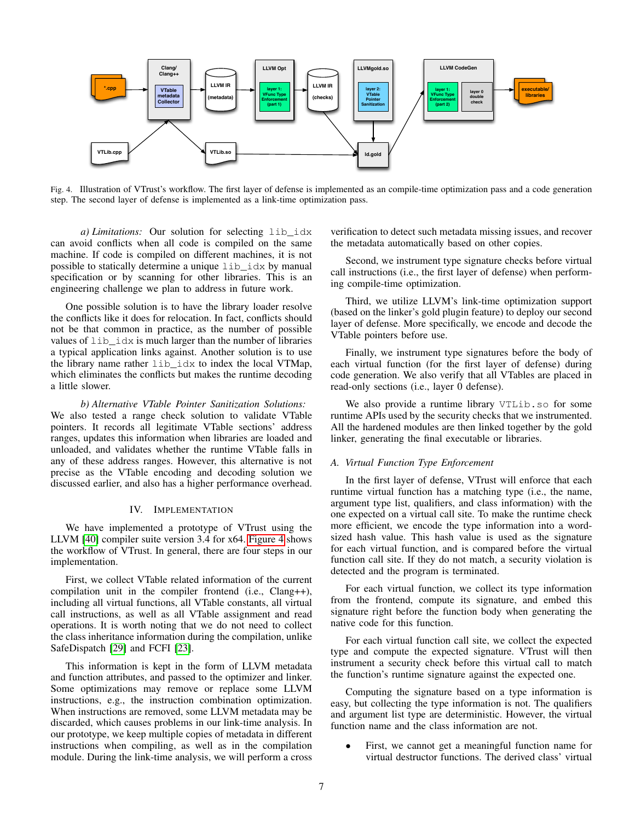

<span id="page-6-1"></span>Fig. 4. Illustration of VTrust's workflow. The first layer of defense is implemented as an compile-time optimization pass and a code generation step. The second layer of defense is implemented as a link-time optimization pass.

*a) Limitations:* Our solution for selecting lib\_idx can avoid conflicts when all code is compiled on the same machine. If code is compiled on different machines, it is not possible to statically determine a unique lib\_idx by manual specification or by scanning for other libraries. This is an engineering challenge we plan to address in future work.

One possible solution is to have the library loader resolve the conflicts like it does for relocation. In fact, conflicts should not be that common in practice, as the number of possible values of lib\_idx is much larger than the number of libraries a typical application links against. Another solution is to use the library name rather lib\_idx to index the local VTMap, which eliminates the conflicts but makes the runtime decoding a little slower.

*b) Alternative VTable Pointer Sanitization Solutions:* We also tested a range check solution to validate VTable pointers. It records all legitimate VTable sections' address ranges, updates this information when libraries are loaded and unloaded, and validates whether the runtime VTable falls in any of these address ranges. However, this alternative is not precise as the VTable encoding and decoding solution we discussed earlier, and also has a higher performance overhead.

### IV. IMPLEMENTATION

<span id="page-6-0"></span>We have implemented a prototype of VTrust using the LLVM [\[40\]](#page-14-17) compiler suite version 3.4 for x64. [Figure 4](#page-6-1) shows the workflow of VTrust. In general, there are four steps in our implementation.

First, we collect VTable related information of the current compilation unit in the compiler frontend (i.e., Clang++), including all virtual functions, all VTable constants, all virtual call instructions, as well as all VTable assignment and read operations. It is worth noting that we do not need to collect the class inheritance information during the compilation, unlike SafeDispatch [\[29\]](#page-14-6) and FCFI [\[23\]](#page-14-0).

This information is kept in the form of LLVM metadata and function attributes, and passed to the optimizer and linker. Some optimizations may remove or replace some LLVM instructions, e.g., the instruction combination optimization. When instructions are removed, some LLVM metadata may be discarded, which causes problems in our link-time analysis. In our prototype, we keep multiple copies of metadata in different instructions when compiling, as well as in the compilation module. During the link-time analysis, we will perform a cross verification to detect such metadata missing issues, and recover the metadata automatically based on other copies.

Second, we instrument type signature checks before virtual call instructions (i.e., the first layer of defense) when performing compile-time optimization.

Third, we utilize LLVM's link-time optimization support (based on the linker's gold plugin feature) to deploy our second layer of defense. More specifically, we encode and decode the VTable pointers before use.

Finally, we instrument type signatures before the body of each virtual function (for the first layer of defense) during code generation. We also verify that all VTables are placed in read-only sections (i.e., layer 0 defense).

We also provide a runtime library VTLib.so for some runtime APIs used by the security checks that we instrumented. All the hardened modules are then linked together by the gold linker, generating the final executable or libraries.

### *A. Virtual Function Type Enforcement*

In the first layer of defense, VTrust will enforce that each runtime virtual function has a matching type (i.e., the name, argument type list, qualifiers, and class information) with the one expected on a virtual call site. To make the runtime check more efficient, we encode the type information into a wordsized hash value. This hash value is used as the signature for each virtual function, and is compared before the virtual function call site. If they do not match, a security violation is detected and the program is terminated.

For each virtual function, we collect its type information from the frontend, compute its signature, and embed this signature right before the function body when generating the native code for this function.

For each virtual function call site, we collect the expected type and compute the expected signature. VTrust will then instrument a security check before this virtual call to match the function's runtime signature against the expected one.

Computing the signature based on a type information is easy, but collecting the type information is not. The qualifiers and argument list type are deterministic. However, the virtual function name and the class information are not.

First, we cannot get a meaningful function name for virtual destructor functions. The derived class' virtual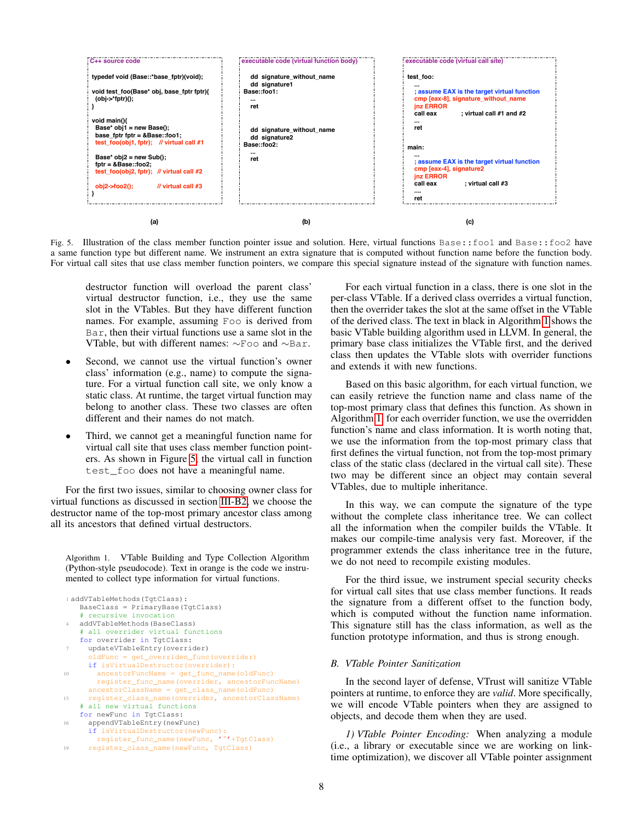

<span id="page-7-0"></span>Fig. 5. Illustration of the class member function pointer issue and solution. Here, virtual functions Base::foo1 and Base::foo2 have a same function type but different name. We instrument an extra signature that is computed without function name before the function body. For virtual call sites that use class member function pointers, we compare this special signature instead of the signature with function names.

destructor function will overload the parent class' virtual destructor function, i.e., they use the same slot in the VTables. But they have different function names. For example, assuming Foo is derived from Bar, then their virtual functions use a same slot in the VTable, but with different names: ∼Foo and ∼Bar.

- Second, we cannot use the virtual function's owner class' information (e.g., name) to compute the signature. For a virtual function call site, we only know a static class. At runtime, the target virtual function may belong to another class. These two classes are often different and their names do not match.
- Third, we cannot get a meaningful function name for virtual call site that uses class member function pointers. As shown in Figure [5,](#page-7-0) the virtual call in function test\_foo does not have a meaningful name.

For the first two issues, similar to choosing owner class for virtual functions as discussed in section [III-B2,](#page-4-0) we choose the destructor name of the top-most primary ancestor class among all its ancestors that defined virtual destructors.

<span id="page-7-1"></span>Algorithm 1. VTable Building and Type Collection Algorithm (Python-style pseudocode). Text in orange is the code we instrumented to collect type information for virtual functions.

```
1 addVTableMethods(TgtClass):
   BaseClass = PrimaryBase(TgtClass)
   # recursive invocation
   4 addVTableMethods(BaseClass)
   # all overrider virtual functions
   for overrider in TgtClass:
     updateVTableEntry(overrider)
       dFunc = get_overriden_func(overrider)
     if isVirtualDestructor(overrider):
10 ancestorFuncName = get_func_name(oldFunc)
       register func name(overrider, ancestorFuncName)
     ancestorClassName = get_class_name(oldFunc)
13 register_class_name(overrider, ancestorClassName)
   # all new virtual functions
   for newFunc in TgtClass:
16 appendVTableEntry(newFunc)
     if isVirtualDestructor(newFunc):
       register_func_name(newFunc, '˜'+TgtClass)
19 register_class_name(newFunc, TgtClass)
```
For each virtual function in a class, there is one slot in the per-class VTable. If a derived class overrides a virtual function, then the overrider takes the slot at the same offset in the VTable of the derived class. The text in black in Algorithm [1](#page-7-1) shows the basic VTable building algorithm used in LLVM. In general, the primary base class initializes the VTable first, and the derived class then updates the VTable slots with overrider functions and extends it with new functions.

Based on this basic algorithm, for each virtual function, we can easily retrieve the function name and class name of the top-most primary class that defines this function. As shown in Algorithm [1,](#page-7-1) for each overrider function, we use the overridden function's name and class information. It is worth noting that, we use the information from the top-most primary class that first defines the virtual function, not from the top-most primary class of the static class (declared in the virtual call site). These two may be different since an object may contain several VTables, due to multiple inheritance.

In this way, we can compute the signature of the type without the complete class inheritance tree. We can collect all the information when the compiler builds the VTable. It makes our compile-time analysis very fast. Moreover, if the programmer extends the class inheritance tree in the future, we do not need to recompile existing modules.

For the third issue, we instrument special security checks for virtual call sites that use class member functions. It reads the signature from a different offset to the function body, which is computed without the function name information. This signature still has the class information, as well as the function prototype information, and thus is strong enough.

## *B. VTable Pointer Sanitization*

In the second layer of defense, VTrust will sanitize VTable pointers at runtime, to enforce they are *valid*. More specifically, we will encode VTable pointers when they are assigned to objects, and decode them when they are used.

*1) VTable Pointer Encoding:* When analyzing a module (i.e., a library or executable since we are working on linktime optimization), we discover all VTable pointer assignment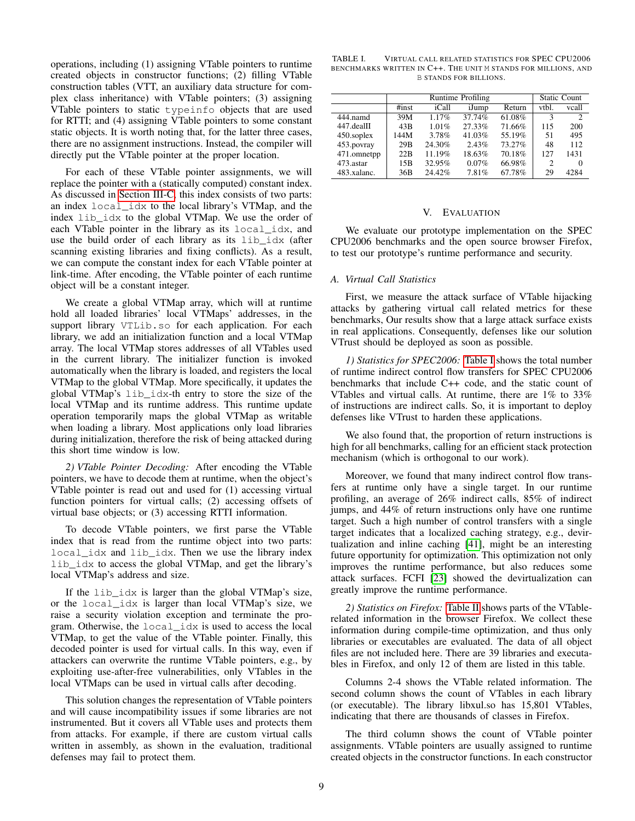operations, including (1) assigning VTable pointers to runtime created objects in constructor functions; (2) filling VTable construction tables (VTT, an auxiliary data structure for complex class inheritance) with VTable pointers; (3) assigning VTable pointers to static typeinfo objects that are used for RTTI; and (4) assigning VTable pointers to some constant static objects. It is worth noting that, for the latter three cases, there are no assignment instructions. Instead, the compiler will directly put the VTable pointer at the proper location.

For each of these VTable pointer assignments, we will replace the pointer with a (statically computed) constant index. As discussed in [Section III-C,](#page-5-1) this index consists of two parts: an index local\_idx to the local library's VTMap, and the index lib\_idx to the global VTMap. We use the order of each VTable pointer in the library as its local\_idx, and use the build order of each library as its lib\_idx (after scanning existing libraries and fixing conflicts). As a result, we can compute the constant index for each VTable pointer at link-time. After encoding, the VTable pointer of each runtime object will be a constant integer.

We create a global VTMap array, which will at runtime hold all loaded libraries' local VTMaps' addresses, in the support library VTLib.so for each application. For each library, we add an initialization function and a local VTMap array. The local VTMap stores addresses of all VTables used in the current library. The initializer function is invoked automatically when the library is loaded, and registers the local VTMap to the global VTMap. More specifically, it updates the global VTMap's lib\_idx-th entry to store the size of the local VTMap and its runtime address. This runtime update operation temporarily maps the global VTMap as writable when loading a library. Most applications only load libraries during initialization, therefore the risk of being attacked during this short time window is low.

*2) VTable Pointer Decoding:* After encoding the VTable pointers, we have to decode them at runtime, when the object's VTable pointer is read out and used for (1) accessing virtual function pointers for virtual calls; (2) accessing offsets of virtual base objects; or (3) accessing RTTI information.

To decode VTable pointers, we first parse the VTable index that is read from the runtime object into two parts: local\_idx and lib\_idx. Then we use the library index lib\_idx to access the global VTMap, and get the library's local VTMap's address and size.

If the lib\_idx is larger than the global VTMap's size, or the local\_idx is larger than local VTMap's size, we raise a security violation exception and terminate the program. Otherwise, the local\_idx is used to access the local VTMap, to get the value of the VTable pointer. Finally, this decoded pointer is used for virtual calls. In this way, even if attackers can overwrite the runtime VTable pointers, e.g., by exploiting use-after-free vulnerabilities, only VTables in the local VTMaps can be used in virtual calls after decoding.

This solution changes the representation of VTable pointers and will cause incompatibility issues if some libraries are not instrumented. But it covers all VTable uses and protects them from attacks. For example, if there are custom virtual calls written in assembly, as shown in the evaluation, traditional defenses may fail to protect them.

<span id="page-8-1"></span>TABLE I. VIRTUAL CALL RELATED STATISTICS FOR SPEC CPU2006 BENCHMARKS WRITTEN IN C++. THE UNIT M STANDS FOR MILLIONS, AND B STANDS FOR BILLIONS.

|               | Runtime Profiling |        |        |        |                             | <b>Static Count</b> |  |
|---------------|-------------------|--------|--------|--------|-----------------------------|---------------------|--|
|               | $\#inst$          | iCall  | iJump  | Return | vtbl.                       | vcall               |  |
| 444 namd      | 39M               | 1.17%  | 37.74% | 61.08% | 3                           | 2                   |  |
| $447$ .dealII | 43B               | 1.01%  | 27.33% | 71.66% | 115                         | 200                 |  |
| 450.soplex    | 144M              | 3.78%  | 41.03% | 55.19% | 51                          | 495                 |  |
| 453.povray    | 29B               | 24.30% | 2.43%  | 73.27% | 48                          | 112                 |  |
| 471.omnetpp   | 22B               | 11.19% | 18.63% | 70.18% | 127                         | 1431                |  |
| 473 astar     | 15B               | 32.95% | 0.07%  | 66.98% | $\mathcal{D}_{\mathcal{L}}$ | 0                   |  |
| 483.xalanc.   | 36B               | 24.42% | 7.81%  | 67.78% | 29                          | 4284                |  |

#### V. EVALUATION

<span id="page-8-0"></span>We evaluate our prototype implementation on the SPEC CPU2006 benchmarks and the open source browser Firefox, to test our prototype's runtime performance and security.

### *A. Virtual Call Statistics*

First, we measure the attack surface of VTable hijacking attacks by gathering virtual call related metrics for these benchmarks, Our results show that a large attack surface exists in real applications. Consequently, defenses like our solution VTrust should be deployed as soon as possible.

*1) Statistics for SPEC2006:* [Table I](#page-8-1) shows the total number of runtime indirect control flow transfers for SPEC CPU2006 benchmarks that include C++ code, and the static count of VTables and virtual calls. At runtime, there are 1% to 33% of instructions are indirect calls. So, it is important to deploy defenses like VTrust to harden these applications.

We also found that, the proportion of return instructions is high for all benchmarks, calling for an efficient stack protection mechanism (which is orthogonal to our work).

Moreover, we found that many indirect control flow transfers at runtime only have a single target. In our runtime profiling, an average of 26% indirect calls, 85% of indirect jumps, and 44% of return instructions only have one runtime target. Such a high number of control transfers with a single target indicates that a localized caching strategy, e.g., devirtualization and inline caching [\[41\]](#page-14-18), might be an interesting future opportunity for optimization. This optimization not only improves the runtime performance, but also reduces some attack surfaces. FCFI [\[23\]](#page-14-0) showed the devirtualization can greatly improve the runtime performance.

*2) Statistics on Firefox:* [Table II](#page-9-0) shows parts of the VTablerelated information in the browser Firefox. We collect these information during compile-time optimization, and thus only libraries or executables are evaluated. The data of all object files are not included here. There are 39 libraries and executables in Firefox, and only 12 of them are listed in this table.

Columns 2-4 shows the VTable related information. The second column shows the count of VTables in each library (or executable). The library libxul.so has 15,801 VTables, indicating that there are thousands of classes in Firefox.

The third column shows the count of VTable pointer assignments. VTable pointers are usually assigned to runtime created objects in the constructor functions. In each constructor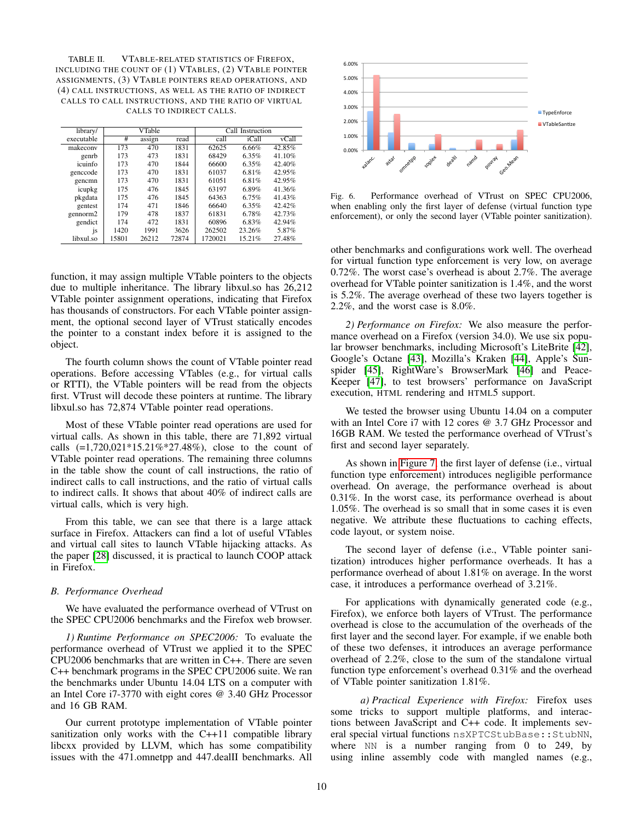<span id="page-9-0"></span>TABLE II. VTABLE-RELATED STATISTICS OF FIREFOX, INCLUDING THE COUNT OF (1) VTABLES, (2) VTABLE POINTER ASSIGNMENTS, (3) VTABLE POINTERS READ OPERATIONS, AND (4) CALL INSTRUCTIONS, AS WELL AS THE RATIO OF INDIRECT CALLS TO CALL INSTRUCTIONS, AND THE RATIO OF VIRTUAL CALLS TO INDIRECT CALLS.

| library/             |       | VTable |       |         | Call Instruction |        |  |  |
|----------------------|-------|--------|-------|---------|------------------|--------|--|--|
| executable           | #     | assign | read  | call    | iCall            | vCall  |  |  |
| makecony             | 173   | 470    | 1831  | 62625   | 6.66%            | 42.85% |  |  |
| genrb                | 173   | 473    | 1831  | 68429   | 6.35%            | 41.10% |  |  |
| icuinfo              | 173   | 470    | 1844  | 66600   | 6.35%            | 42.40% |  |  |
| genccode             | 173   | 470    | 1831  | 61037   | 6.81%            | 42.95% |  |  |
| gencmn               | 173   | 470    | 1831  | 61051   | 6.81%            | 42.95% |  |  |
| icupkg               | 175   | 476    | 1845  | 63197   | 6.89%            | 41.36% |  |  |
| pkgdata              | 175   | 476    | 1845  | 64363   | 6.75%            | 41.43% |  |  |
| gentest              | 174   | 471    | 1846  | 66640   | 6.35%            | 42.42% |  |  |
| gennorm <sub>2</sub> | 179   | 478    | 1837  | 61831   | 6.78%            | 42.73% |  |  |
| gendict              | 174   | 472    | 1831  | 60896   | 6.83%            | 42.94% |  |  |
| js                   | 1420  | 1991   | 3626  | 262502  | 23.26%           | 5.87%  |  |  |
| libxul.so            | 15801 | 26212  | 72874 | 1720021 | 15.21%           | 27.48% |  |  |

function, it may assign multiple VTable pointers to the objects due to multiple inheritance. The library libxul.so has 26,212 VTable pointer assignment operations, indicating that Firefox has thousands of constructors. For each VTable pointer assignment, the optional second layer of VTrust statically encodes the pointer to a constant index before it is assigned to the object.

The fourth column shows the count of VTable pointer read operations. Before accessing VTables (e.g., for virtual calls or RTTI), the VTable pointers will be read from the objects first. VTrust will decode these pointers at runtime. The library libxul.so has 72,874 VTable pointer read operations.

Most of these VTable pointer read operations are used for virtual calls. As shown in this table, there are 71,892 virtual calls  $(=1,720,021*15.21\%*27.48\%)$ , close to the count of VTable pointer read operations. The remaining three columns in the table show the count of call instructions, the ratio of indirect calls to call instructions, and the ratio of virtual calls to indirect calls. It shows that about 40% of indirect calls are virtual calls, which is very high.

From this table, we can see that there is a large attack surface in Firefox. Attackers can find a lot of useful VTables and virtual call sites to launch VTable hijacking attacks. As the paper [\[28\]](#page-14-5) discussed, it is practical to launch COOP attack in Firefox.

#### *B. Performance Overhead*

We have evaluated the performance overhead of VTrust on the SPEC CPU2006 benchmarks and the Firefox web browser.

*1) Runtime Performance on SPEC2006:* To evaluate the performance overhead of VTrust we applied it to the SPEC CPU2006 benchmarks that are written in C++. There are seven C++ benchmark programs in the SPEC CPU2006 suite. We ran the benchmarks under Ubuntu 14.04 LTS on a computer with an Intel Core i7-3770 with eight cores @ 3.40 GHz Processor and 16 GB RAM.

Our current prototype implementation of VTable pointer sanitization only works with the C++11 compatible library libcxx provided by LLVM, which has some compatibility issues with the 471.omnetpp and 447.dealII benchmarks. All



Fig. 6. Performance overhead of VTrust on SPEC CPU2006, when enabling only the first layer of defense (virtual function type enforcement), or only the second layer (VTable pointer sanitization).

other benchmarks and configurations work well. The overhead for virtual function type enforcement is very low, on average 0.72%. The worst case's overhead is about 2.7%. The average overhead for VTable pointer sanitization is 1.4%, and the worst is 5.2%. The average overhead of these two layers together is 2.2%, and the worst case is 8.0%.

*2) Performance on Firefox:* We also measure the performance overhead on a Firefox (version 34.0). We use six popular browser benchmarks, including Microsoft's LiteBrite [\[42\]](#page-14-19), Google's Octane [\[43\]](#page-14-20), Mozilla's Kraken [\[44\]](#page-14-21), Apple's Sunspider [\[45\]](#page-14-22), RightWare's BrowserMark [\[46\]](#page-14-23) and Peace-Keeper [\[47\]](#page-14-24), to test browsers' performance on JavaScript execution, HTML rendering and HTML5 support.

We tested the browser using Ubuntu 14.04 on a computer with an Intel Core i7 with 12 cores @ 3.7 GHz Processor and 16GB RAM. We tested the performance overhead of VTrust's first and second layer separately.

As shown in [Figure 7,](#page-10-0) the first layer of defense (i.e., virtual function type enforcement) introduces negligible performance overhead. On average, the performance overhead is about 0.31%. In the worst case, its performance overhead is about 1.05%. The overhead is so small that in some cases it is even negative. We attribute these fluctuations to caching effects, code layout, or system noise.

The second layer of defense (i.e., VTable pointer sanitization) introduces higher performance overheads. It has a performance overhead of about 1.81% on average. In the worst case, it introduces a performance overhead of 3.21%.

For applications with dynamically generated code (e.g., Firefox), we enforce both layers of VTrust. The performance overhead is close to the accumulation of the overheads of the first layer and the second layer. For example, if we enable both of these two defenses, it introduces an average performance overhead of 2.2%, close to the sum of the standalone virtual function type enforcement's overhead 0.31% and the overhead of VTable pointer sanitization 1.81%.

*a) Practical Experience with Firefox:* Firefox uses some tricks to support multiple platforms, and interactions between JavaScript and C++ code. It implements several special virtual functions nsXPTCStubBase::StubNN, where NN is a number ranging from 0 to 249, by using inline assembly code with mangled names (e.g.,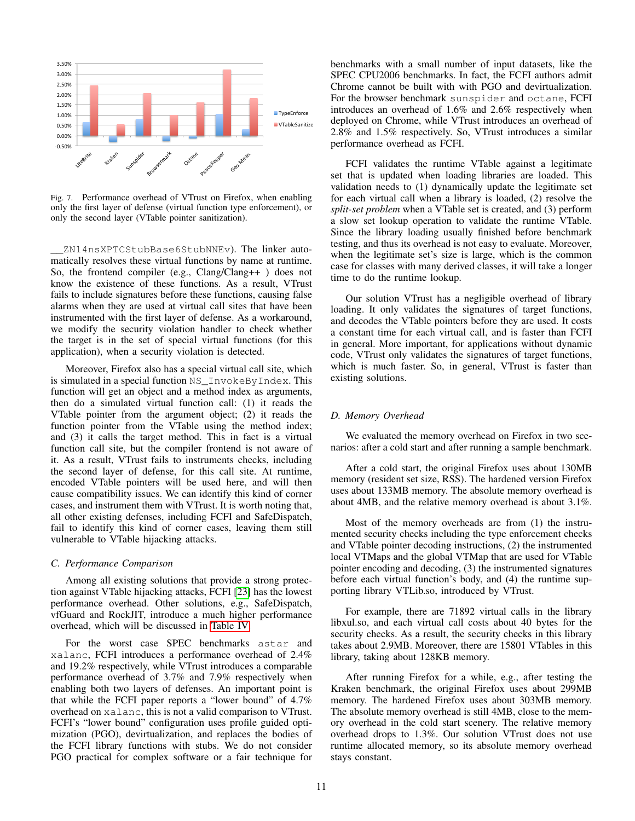

<span id="page-10-0"></span>Fig. 7. Performance overhead of VTrust on Firefox, when enabling only the first layer of defense (virtual function type enforcement), or only the second layer (VTable pointer sanitization).

\_\_ZN14nsXPTCStubBase6StubNNEv). The linker automatically resolves these virtual functions by name at runtime. So, the frontend compiler (e.g., Clang/Clang++ ) does not know the existence of these functions. As a result, VTrust fails to include signatures before these functions, causing false alarms when they are used at virtual call sites that have been instrumented with the first layer of defense. As a workaround, we modify the security violation handler to check whether the target is in the set of special virtual functions (for this application), when a security violation is detected.

Moreover, Firefox also has a special virtual call site, which is simulated in a special function NS\_InvokeByIndex. This function will get an object and a method index as arguments, then do a simulated virtual function call: (1) it reads the VTable pointer from the argument object; (2) it reads the function pointer from the VTable using the method index; and (3) it calls the target method. This in fact is a virtual function call site, but the compiler frontend is not aware of it. As a result, VTrust fails to instruments checks, including the second layer of defense, for this call site. At runtime, encoded VTable pointers will be used here, and will then cause compatibility issues. We can identify this kind of corner cases, and instrument them with VTrust. It is worth noting that, all other existing defenses, including FCFI and SafeDispatch, fail to identify this kind of corner cases, leaving them still vulnerable to VTable hijacking attacks.

### *C. Performance Comparison*

Among all existing solutions that provide a strong protection against VTable hijacking attacks, FCFI [\[23\]](#page-14-0) has the lowest performance overhead. Other solutions, e.g., SafeDispatch, vfGuard and RockJIT, introduce a much higher performance overhead, which will be discussed in [Table IV.](#page-12-0)

For the worst case SPEC benchmarks astar and xalanc, FCFI introduces a performance overhead of 2.4% and 19.2% respectively, while VTrust introduces a comparable performance overhead of 3.7% and 7.9% respectively when enabling both two layers of defenses. An important point is that while the FCFI paper reports a "lower bound" of 4.7% overhead on xalanc, this is not a valid comparison to VTrust. FCFI's "lower bound" configuration uses profile guided optimization (PGO), devirtualization, and replaces the bodies of the FCFI library functions with stubs. We do not consider PGO practical for complex software or a fair technique for benchmarks with a small number of input datasets, like the SPEC CPU2006 benchmarks. In fact, the FCFI authors admit Chrome cannot be built with with PGO and devirtualization. For the browser benchmark sunspider and octane, FCFI introduces an overhead of 1.6% and 2.6% respectively when deployed on Chrome, while VTrust introduces an overhead of 2.8% and 1.5% respectively. So, VTrust introduces a similar performance overhead as FCFI.

FCFI validates the runtime VTable against a legitimate set that is updated when loading libraries are loaded. This validation needs to (1) dynamically update the legitimate set for each virtual call when a library is loaded, (2) resolve the *split-set problem* when a VTable set is created, and (3) perform a slow set lookup operation to validate the runtime VTable. Since the library loading usually finished before benchmark testing, and thus its overhead is not easy to evaluate. Moreover, when the legitimate set's size is large, which is the common case for classes with many derived classes, it will take a longer time to do the runtime lookup.

Our solution VTrust has a negligible overhead of library loading. It only validates the signatures of target functions, and decodes the VTable pointers before they are used. It costs a constant time for each virtual call, and is faster than FCFI in general. More important, for applications without dynamic code, VTrust only validates the signatures of target functions, which is much faster. So, in general, VTrust is faster than existing solutions.

### *D. Memory Overhead*

We evaluated the memory overhead on Firefox in two scenarios: after a cold start and after running a sample benchmark.

After a cold start, the original Firefox uses about 130MB memory (resident set size, RSS). The hardened version Firefox uses about 133MB memory. The absolute memory overhead is about 4MB, and the relative memory overhead is about 3.1%.

Most of the memory overheads are from (1) the instrumented security checks including the type enforcement checks and VTable pointer decoding instructions, (2) the instrumented local VTMaps and the global VTMap that are used for VTable pointer encoding and decoding, (3) the instrumented signatures before each virtual function's body, and (4) the runtime supporting library VTLib.so, introduced by VTrust.

For example, there are 71892 virtual calls in the library libxul.so, and each virtual call costs about 40 bytes for the security checks. As a result, the security checks in this library takes about 2.9MB. Moreover, there are 15801 VTables in this library, taking about 128KB memory.

After running Firefox for a while, e.g., after testing the Kraken benchmark, the original Firefox uses about 299MB memory. The hardened Firefox uses about 303MB memory. The absolute memory overhead is still 4MB, close to the memory overhead in the cold start scenery. The relative memory overhead drops to 1.3%. Our solution VTrust does not use runtime allocated memory, so its absolute memory overhead stays constant.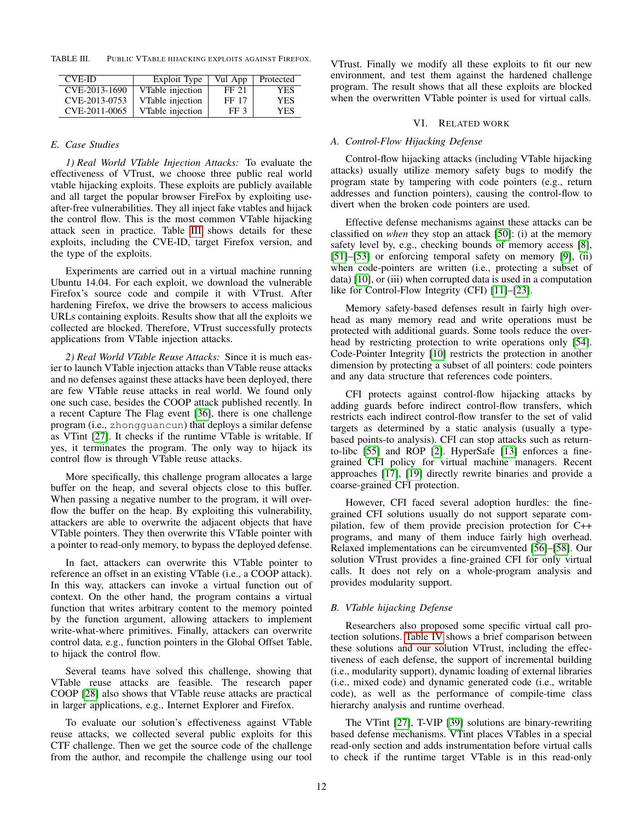TABLE III. PUBLIC VTABLE HIJACKING EXPLOITS AGAINST FIREFOX.

<span id="page-11-1"></span>

| <b>CVE-ID</b> | Exploit Type     | Vul App | Protected  |
|---------------|------------------|---------|------------|
| CVE-2013-1690 | VTable injection | FF 21   | YES        |
| CVE-2013-0753 | VTable injection | FF 17   | <b>YES</b> |
| CVE-2011-0065 | VTable injection | FF 3    | YES        |

### *E. Case Studies*

*1) Real World VTable Injection Attacks:* To evaluate the effectiveness of VTrust, we choose three public real world vtable hijacking exploits. These exploits are publicly available and all target the popular browser FireFox by exploiting useafter-free vulnerabilities. They all inject fake vtables and hijack the control flow. This is the most common VTable hijacking attack seen in practice. Table [III](#page-11-1) shows details for these exploits, including the CVE-ID, target Firefox version, and the type of the exploits.

Experiments are carried out in a virtual machine running Ubuntu 14.04. For each exploit, we download the vulnerable Firefox's source code and compile it with VTrust. After hardening Firefox, we drive the browsers to access malicious URLs containing exploits. Results show that all the exploits we collected are blocked. Therefore, VTrust successfully protects applications from VTable injection attacks.

*2) Real World VTable Reuse Attacks:* Since it is much easier to launch VTable injection attacks than VTable reuse attacks and no defenses against these attacks have been deployed, there are few VTable reuse attacks in real world. We found only one such case, besides the COOP attack published recently. In a recent Capture The Flag event [\[36\]](#page-14-13), there is one challenge program (i.e., zhongguancun) that deploys a similar defense as VTint [\[27\]](#page-14-4). It checks if the runtime VTable is writable. If yes, it terminates the program. The only way to hijack its control flow is through VTable reuse attacks.

More specifically, this challenge program allocates a large buffer on the heap, and several objects close to this buffer. When passing a negative number to the program, it will overflow the buffer on the heap. By exploiting this vulnerability, attackers are able to overwrite the adjacent objects that have VTable pointers. They then overwrite this VTable pointer with a pointer to read-only memory, to bypass the deployed defense.

In fact, attackers can overwrite this VTable pointer to reference an offset in an existing VTable (i.e., a COOP attack). In this way, attackers can invoke a virtual function out of context. On the other hand, the program contains a virtual function that writes arbitrary content to the memory pointed by the function argument, allowing attackers to implement write-what-where primitives. Finally, attackers can overwrite control data, e.g., function pointers in the Global Offset Table, to hijack the control flow.

Several teams have solved this challenge, showing that VTable reuse attacks are feasible. The research paper COOP [\[28\]](#page-14-5) also shows that VTable reuse attacks are practical in larger applications, e.g., Internet Explorer and Firefox.

To evaluate our solution's effectiveness against VTable reuse attacks, we collected several public exploits for this CTF challenge. Then we get the source code of the challenge from the author, and recompile the challenge using our tool VTrust. Finally we modify all these exploits to fit our new environment, and test them against the hardened challenge program. The result shows that all these exploits are blocked when the overwritten VTable pointer is used for virtual calls.

#### VI. RELATED WORK

#### <span id="page-11-0"></span>*A. Control-Flow Hijacking Defense*

Control-flow hijacking attacks (including VTable hijacking attacks) usually utilize memory safety bugs to modify the program state by tampering with code pointers (e.g., return addresses and function pointers), causing the control-flow to divert when the broken code pointers are used.

Effective defense mechanisms against these attacks can be classified on *when* they stop an attack [\[50\]](#page-14-25): (i) at the memory safety level by, e.g., checking bounds of memory access [\[8\]](#page-13-6), [\[51\]](#page-14-26)–[\[53\]](#page-14-27) or enforcing temporal safety on memory [\[9\]](#page-13-10), (ii) when code-pointers are written (i.e., protecting a subset of data) [\[10\]](#page-13-7), or (iii) when corrupted data is used in a computation like for Control-Flow Integrity (CFI) [\[11\]](#page-13-8)–[\[23\]](#page-14-0).

Memory safety-based defenses result in fairly high overhead as many memory read and write operations must be protected with additional guards. Some tools reduce the overhead by restricting protection to write operations only [\[54\]](#page-14-28). Code-Pointer Integrity [\[10\]](#page-13-7) restricts the protection in another dimension by protecting a subset of all pointers: code pointers and any data structure that references code pointers.

CFI protects against control-flow hijacking attacks by adding guards before indirect control-flow transfers, which restricts each indirect control-flow transfer to the set of valid targets as determined by a static analysis (usually a typebased points-to analysis). CFI can stop attacks such as returnto-libc [\[55\]](#page-14-29) and ROP [\[2\]](#page-13-11). HyperSafe [\[13\]](#page-13-12) enforces a finegrained CFI policy for virtual machine managers. Recent approaches [\[17\]](#page-13-13), [\[19\]](#page-13-14) directly rewrite binaries and provide a coarse-grained CFI protection.

However, CFI faced several adoption hurdles: the finegrained CFI solutions usually do not support separate compilation, few of them provide precision protection for C++ programs, and many of them induce fairly high overhead. Relaxed implementations can be circumvented [\[56\]](#page-14-30)–[\[58\]](#page-14-31). Our solution VTrust provides a fine-grained CFI for only virtual calls. It does not rely on a whole-program analysis and provides modularity support.

#### *B. VTable hijacking Defense*

Researchers also proposed some specific virtual call protection solutions. [Table IV](#page-12-0) shows a brief comparison between these solutions and our solution VTrust, including the effectiveness of each defense, the support of incremental building (i.e., modularity support), dynamic loading of external libraries (i.e., mixed code) and dynamic generated code (i.e., writable code), as well as the performance of compile-time class hierarchy analysis and runtime overhead.

The VTint [\[27\]](#page-14-4), T-VIP [\[39\]](#page-14-16) solutions are binary-rewriting based defense mechanisms. VTint places VTables in a special read-only section and adds instrumentation before virtual calls to check if the runtime target VTable is in this read-only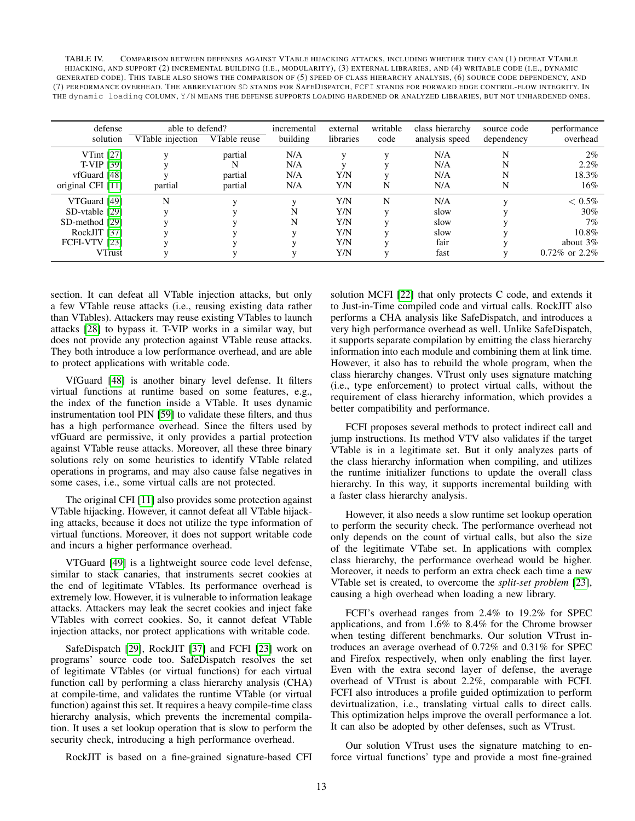<span id="page-12-0"></span>

| TABLE IV. | COMPARISON BETWEEN DEFENSES AGAINST VTABLE HIJACKING ATTACKS, INCLUDING WHETHER THEY CAN (1) DEFEAT VTABLE                       |  |
|-----------|----------------------------------------------------------------------------------------------------------------------------------|--|
|           | HIJACKING, AND SUPPORT (2) INCREMENTAL BUILDING (I.E., MODULARITY), (3) EXTERNAL LIBRARIES, AND (4) WRITABLE CODE (I.E., DYNAMIC |  |
|           | GENERATED CODE). THIS TABLE ALSO SHOWS THE COMPARISON OF (5) SPEED OF CLASS HIERARCHY ANALYSIS, (6) SOURCE CODE DEPENDENCY, AND  |  |
|           | (7) PERFORMANCE OVERHEAD. THE ABBREVIATION SD STANDS FOR SAFEDISPATCH, FCFI STANDS FOR FORWARD EDGE CONTROL-FLOW INTEGRITY. IN   |  |
|           | THE dynamic loading COLUMN, Y/N MEANS THE DEFENSE SUPPORTS LOADING HARDENED OR ANALYZED LIBRARIES, BUT NOT UNHARDENED ONES.      |  |

| defense<br>solution                                                                                | able to defend?<br>VTable injection | VTable reuse                  | incremental<br>building  | external<br>libraries                  | writable<br>code  | class hierarchy<br>analysis speed           | source code<br>dependency | performance<br>overhead                                                   |
|----------------------------------------------------------------------------------------------------|-------------------------------------|-------------------------------|--------------------------|----------------------------------------|-------------------|---------------------------------------------|---------------------------|---------------------------------------------------------------------------|
| VTint $[27]$<br><b>T-VIP [39]</b><br>vfGuard [48]<br>original CFI [11]                             | partial                             | partial<br>partial<br>partial | N/A<br>N/A<br>N/A<br>N/A | Y/N<br>Y/N                             | N                 | N/A<br>N/A<br>N/A<br>N/A                    | N<br>N<br>N<br>N          | $2\%$<br>$2.2\%$<br>18.3%<br>16%                                          |
| VTGuard [49]<br>SD-vtable [29]<br>SD-method [29]<br>RockJIT [37]<br>FCFI-VTV [23]<br><b>VTrust</b> | N                                   |                               | N                        | Y/N<br>Y/N<br>Y/N<br>Y/N<br>Y/N<br>Y/N | N<br>$\mathbf{V}$ | N/A<br>slow<br>slow<br>slow<br>fair<br>fast |                           | $< 0.5\%$<br>30%<br>$7\%$<br>$10.8\%$<br>about $3\%$<br>$0.72\%$ or 2.2\% |

section. It can defeat all VTable injection attacks, but only a few VTable reuse attacks (i.e., reusing existing data rather than VTables). Attackers may reuse existing VTables to launch attacks [\[28\]](#page-14-5) to bypass it. T-VIP works in a similar way, but does not provide any protection against VTable reuse attacks. They both introduce a low performance overhead, and are able to protect applications with writable code.

VfGuard [\[48\]](#page-14-32) is another binary level defense. It filters virtual functions at runtime based on some features, e.g., the index of the function inside a VTable. It uses dynamic instrumentation tool PIN [\[59\]](#page-14-34) to validate these filters, and thus has a high performance overhead. Since the filters used by vfGuard are permissive, it only provides a partial protection against VTable reuse attacks. Moreover, all these three binary solutions rely on some heuristics to identify VTable related operations in programs, and may also cause false negatives in some cases, i.e., some virtual calls are not protected.

The original CFI [\[11\]](#page-13-8) also provides some protection against VTable hijacking. However, it cannot defeat all VTable hijacking attacks, because it does not utilize the type information of virtual functions. Moreover, it does not support writable code and incurs a higher performance overhead.

VTGuard [\[49\]](#page-14-33) is a lightweight source code level defense, similar to stack canaries, that instruments secret cookies at the end of legitimate VTables. Its performance overhead is extremely low. However, it is vulnerable to information leakage attacks. Attackers may leak the secret cookies and inject fake VTables with correct cookies. So, it cannot defeat VTable injection attacks, nor protect applications with writable code.

SafeDispatch [\[29\]](#page-14-6), RockJIT [\[37\]](#page-14-14) and FCFI [\[23\]](#page-14-0) work on programs' source code too. SafeDispatch resolves the set of legitimate VTables (or virtual functions) for each virtual function call by performing a class hierarchy analysis (CHA) at compile-time, and validates the runtime VTable (or virtual function) against this set. It requires a heavy compile-time class hierarchy analysis, which prevents the incremental compilation. It uses a set lookup operation that is slow to perform the security check, introducing a high performance overhead.

RockJIT is based on a fine-grained signature-based CFI

solution MCFI [\[22\]](#page-14-35) that only protects C code, and extends it to Just-in-Time compiled code and virtual calls. RockJIT also performs a CHA analysis like SafeDispatch, and introduces a very high performance overhead as well. Unlike SafeDispatch, it supports separate compilation by emitting the class hierarchy information into each module and combining them at link time. However, it also has to rebuild the whole program, when the class hierarchy changes. VTrust only uses signature matching (i.e., type enforcement) to protect virtual calls, without the requirement of class hierarchy information, which provides a better compatibility and performance.

FCFI proposes several methods to protect indirect call and jump instructions. Its method VTV also validates if the target VTable is in a legitimate set. But it only analyzes parts of the class hierarchy information when compiling, and utilizes the runtime initializer functions to update the overall class hierarchy. In this way, it supports incremental building with a faster class hierarchy analysis.

However, it also needs a slow runtime set lookup operation to perform the security check. The performance overhead not only depends on the count of virtual calls, but also the size of the legitimate VTabe set. In applications with complex class hierarchy, the performance overhead would be higher. Moreover, it needs to perform an extra check each time a new VTable set is created, to overcome the *split-set problem* [\[23\]](#page-14-0), causing a high overhead when loading a new library.

FCFI's overhead ranges from 2.4% to 19.2% for SPEC applications, and from 1.6% to 8.4% for the Chrome browser when testing different benchmarks. Our solution VTrust introduces an average overhead of 0.72% and 0.31% for SPEC and Firefox respectively, when only enabling the first layer. Even with the extra second layer of defense, the average overhead of VTrust is about 2.2%, comparable with FCFI. FCFI also introduces a profile guided optimization to perform devirtualization, i.e., translating virtual calls to direct calls. This optimization helps improve the overall performance a lot. It can also be adopted by other defenses, such as VTrust.

Our solution VTrust uses the signature matching to enforce virtual functions' type and provide a most fine-grained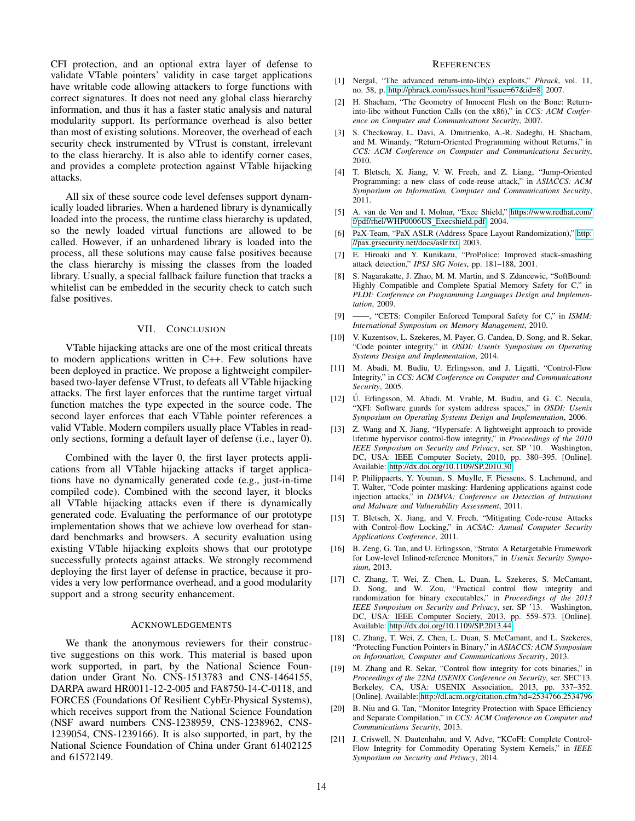CFI protection, and an optional extra layer of defense to validate VTable pointers' validity in case target applications have writable code allowing attackers to forge functions with correct signatures. It does not need any global class hierarchy information, and thus it has a faster static analysis and natural modularity support. Its performance overhead is also better than most of existing solutions. Moreover, the overhead of each security check instrumented by VTrust is constant, irrelevant to the class hierarchy. It is also able to identify corner cases, and provides a complete protection against VTable hijacking attacks.

All six of these source code level defenses support dynamically loaded libraries. When a hardened library is dynamically loaded into the process, the runtime class hierarchy is updated, so the newly loaded virtual functions are allowed to be called. However, if an unhardened library is loaded into the process, all these solutions may cause false positives because the class hierarchy is missing the classes from the loaded library. Usually, a special fallback failure function that tracks a whitelist can be embedded in the security check to catch such false positives.

### VII. CONCLUSION

<span id="page-13-9"></span>VTable hijacking attacks are one of the most critical threats to modern applications written in C++. Few solutions have been deployed in practice. We propose a lightweight compilerbased two-layer defense VTrust, to defeats all VTable hijacking attacks. The first layer enforces that the runtime target virtual function matches the type expected in the source code. The second layer enforces that each VTable pointer references a valid VTable. Modern compilers usually place VTables in readonly sections, forming a default layer of defense (i.e., layer 0).

Combined with the layer 0, the first layer protects applications from all VTable hijacking attacks if target applications have no dynamically generated code (e.g., just-in-time compiled code). Combined with the second layer, it blocks all VTable hijacking attacks even if there is dynamically generated code. Evaluating the performance of our prototype implementation shows that we achieve low overhead for standard benchmarks and browsers. A security evaluation using existing VTable hijacking exploits shows that our prototype successfully protects against attacks. We strongly recommend deploying the first layer of defense in practice, because it provides a very low performance overhead, and a good modularity support and a strong security enhancement.

#### ACKNOWLEDGEMENTS

We thank the anonymous reviewers for their constructive suggestions on this work. This material is based upon work supported, in part, by the National Science Foundation under Grant No. CNS-1513783 and CNS-1464155, DARPA award HR0011-12-2-005 and FA8750-14-C-0118, and FORCES (Foundations Of Resilient CybEr-Physical Systems), which receives support from the National Science Foundation (NSF award numbers CNS-1238959, CNS-1238962, CNS-1239054, CNS-1239166). It is also supported, in part, by the National Science Foundation of China under Grant 61402125 and 61572149.

#### **REFERENCES**

- <span id="page-13-0"></span>[1] Nergal, "The advanced return-into-lib(c) exploits," *Phrack*, vol. 11, no. 58, p. [http://phrack.com/issues.html?issue=67&id=8,](http://phrack.com/issues.html?issue=67&id=8) 2007.
- <span id="page-13-11"></span>[2] H. Shacham, "The Geometry of Innocent Flesh on the Bone: Returninto-libc without Function Calls (on the x86)," in *CCS: ACM Conference on Computer and Communications Security*, 2007.
- <span id="page-13-1"></span>[3] S. Checkoway, L. Davi, A. Dmitrienko, A.-R. Sadeghi, H. Shacham, and M. Winandy, "Return-Oriented Programming without Returns," in *CCS: ACM Conference on Computer and Communications Security*, 2010.
- <span id="page-13-2"></span>[4] T. Bletsch, X. Jiang, V. W. Freeh, and Z. Liang, "Jump-Oriented Programming: a new class of code-reuse attack," in *ASIACCS: ACM Symposium on Information, Computer and Communications Security*, 2011.
- <span id="page-13-3"></span>[5] A. van de Ven and I. Molnar, "Exec Shield," [https://www.redhat.com/](https://www.redhat.com/f/pdf/rhel/WHP0006US_Execshield.pdf) [f/pdf/rhel/WHP0006US](https://www.redhat.com/f/pdf/rhel/WHP0006US_Execshield.pdf) Execshield.pdf, 2004.
- <span id="page-13-4"></span>[6] PaX-Team, "PaX ASLR (Address Space Layout Randomization)," [http:](http://pax.grsecurity.net/docs/aslr.txt) [//pax.grsecurity.net/docs/aslr.txt,](http://pax.grsecurity.net/docs/aslr.txt) 2003.
- <span id="page-13-5"></span>[7] E. Hiroaki and Y. Kunikazu, "ProPolice: Improved stack-smashing attack detection," *IPSJ SIG Notes*, pp. 181–188, 2001.
- <span id="page-13-6"></span>[8] S. Nagarakatte, J. Zhao, M. M. Martin, and S. Zdancewic, "SoftBound: Highly Compatible and Complete Spatial Memory Safety for C," in *PLDI: Conference on Programming Languages Design and Implementation*, 2009.
- <span id="page-13-10"></span>[9] ——, "CETS: Compiler Enforced Temporal Safety for C," in *ISMM: International Symposium on Memory Management*, 2010.
- <span id="page-13-7"></span>[10] V. Kuzentsov, L. Szekeres, M. Payer, G. Candea, D. Song, and R. Sekar, "Code pointer integrity," in *OSDI: Usenix Symposium on Operating Systems Design and Implementation*, 2014.
- <span id="page-13-8"></span>[11] M. Abadi, M. Budiu, U. Erlingsson, and J. Ligatti, "Control-Flow Integrity," in *CCS: ACM Conference on Computer and Communications Security*, 2005.
- [12] Ú. Erlingsson, M. Abadi, M. Vrable, M. Budiu, and G. C. Necula, "XFI: Software guards for system address spaces," in *OSDI: Usenix Symposium on Operating Systems Design and Implementation*, 2006.
- <span id="page-13-12"></span>[13] Z. Wang and X. Jiang, "Hypersafe: A lightweight approach to provide lifetime hypervisor control-flow integrity," in *Proceedings of the 2010 IEEE Symposium on Security and Privacy*, ser. SP '10. Washington, DC, USA: IEEE Computer Society, 2010, pp. 380–395. [Online]. Available:<http://dx.doi.org/10.1109/SP.2010.30>
- [14] P. Philippaerts, Y. Younan, S. Muylle, F. Piessens, S. Lachmund, and T. Walter, "Code pointer masking: Hardening applications against code injection attacks," in *DIMVA: Conference on Detection of Intrusions and Malware and Vulnerability Assessment*, 2011.
- [15] T. Bletsch, X. Jiang, and V. Freeh, "Mitigating Code-reuse Attacks with Control-flow Locking," in *ACSAC: Annual Computer Security Applications Conference*, 2011.
- [16] B. Zeng, G. Tan, and U. Erlingsson, "Strato: A Retargetable Framework for Low-level Inlined-reference Monitors," in *Usenix Security Symposium*, 2013.
- <span id="page-13-13"></span>[17] C. Zhang, T. Wei, Z. Chen, L. Duan, L. Szekeres, S. McCamant, D. Song, and W. Zou, "Practical control flow integrity and randomization for binary executables," in *Proceedings of the 2013 IEEE Symposium on Security and Privacy*, ser. SP '13. Washington, DC, USA: IEEE Computer Society, 2013, pp. 559–573. [Online]. Available:<http://dx.doi.org/10.1109/SP.2013.44>
- [18] C. Zhang, T. Wei, Z. Chen, L. Duan, S. McCamant, and L. Szekeres, "Protecting Function Pointers in Binary," in *ASIACCS: ACM Symposium on Information, Computer and Communications Security*, 2013.
- <span id="page-13-14"></span>[19] M. Zhang and R. Sekar, "Control flow integrity for cots binaries," in *Proceedings of the 22Nd USENIX Conference on Security*, ser. SEC'13. Berkeley, CA, USA: USENIX Association, 2013, pp. 337–352. [Online]. Available:<http://dl.acm.org/citation.cfm?id=2534766.2534796>
- [20] B. Niu and G. Tan, "Monitor Integrity Protection with Space Efficiency and Separate Compilation," in *CCS: ACM Conference on Computer and Communications Security*, 2013.
- [21] J. Criswell, N. Dautenhahn, and V. Adve, "KCoFI: Complete Control-Flow Integrity for Commodity Operating System Kernels," in *IEEE Symposium on Security and Privacy*, 2014.